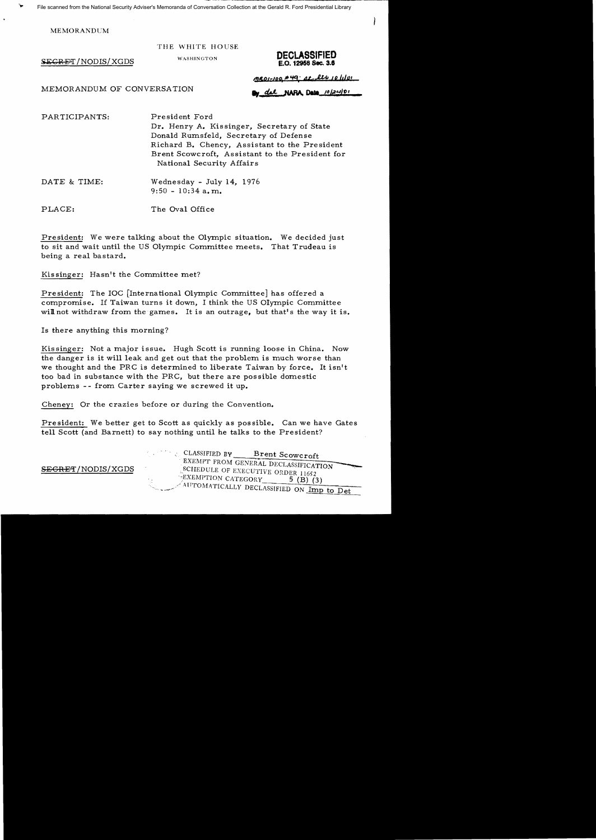File scanned from the National Security Adviser's Memoranda of Conversation Collection at the Gerald R. Ford Presidential Library

**MEMORANDUM** 

THE WHITE HOUSE

 $SEGRET/NODIS/XGDS$ 



MEMORANDUM OF CONVERSATION

meor-100 A49; at les 10/101

oy del NARA Data 10/24/01

PARTICIPANTS: President Ford Dr. Henry A. Kissinger, Secretary of State Donald Rumsfe1d, Secretary of Defense Richard B. Chency, Assistant to the President Brent Scowcroft, Assistant to the President for National Security Affairs

DATE & TIME: Wednesday - July 14, 1976  $9:50 - 10:34$  a.m.

PLACE: The Oval Office

President: We were talking about the Olympic situation. We decided just to sit and wait until the US Olympic Committee meets. That Trudeau is being a real bastard.

Kissinger: Hasn't the Committee met?

President: The IOC [International Olympic Committee] has offered a compromise. If Taiwan turns it down, I think the US Olympic Committee will not withdraw from the games. It is an outrage, but that's the way it is.

Is there anything this morning?

Kissinger: Not a major issue. Hugh Scott is running loose in China. Now the danger is it will leak and get out that the problem is much worse than we thought and the PRC is determined to liberate Taiwan by force. It isn't too bad in substance with the PRC, but there are possible domestic problems - - from Carter saying we screwed it up.

Cheney: Or the crazies before or during the Convention.

President: We better get to Scott as quickly as possible. Can we have Gates tell Scott (and Barnett) to say nothing until he talks to the President?

CLASSIFIED BY Brent Scowcroft EXEMPT FROM GENERAL DECLASSIFICATION SEGRET/NODIS/XGDS SCHEDULE OF EXECUTIVE ORDER 11652  $E$ XEMPTION CATEGORY 5 (B) (3)  $\sqrt{4}$ UTOMATICALLY DECLASSIFIED ON Imp to Det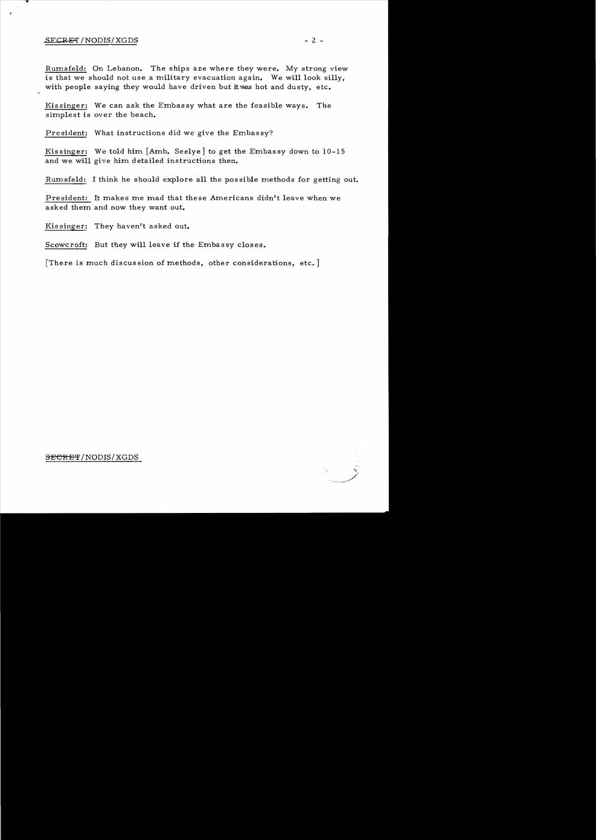## $SECRET / NODIS / XGDS$  - 2 -

Rum.sfeld: On Lebanon. The ships *axe* where they were. My strong view is that we should not use a military evacuation again. We will look silly, with people saying they would have driven but itwas hot and dusty, etc.

Kissinger: We can ask the Embassy what are the feasible ways. The simplest is over the beach.

President: What instructions did we give the Embassy?

Kissinger: We told him [Amb. Seelye] to get the Embassy down to 10-15 and we will give him detailed instructions then.

Rumsfeld: I think he should explore all the possible methods for getting out.

President: It makes me mad that these Americans didn't leave when we asked them and now they want out.

Kis singer: They haven't asked out.

Scowcroft: But they will leave if the Embassy closes.

[There is much discussion of methods, other considerations, etc.]



SECRET/NODIS/XGDS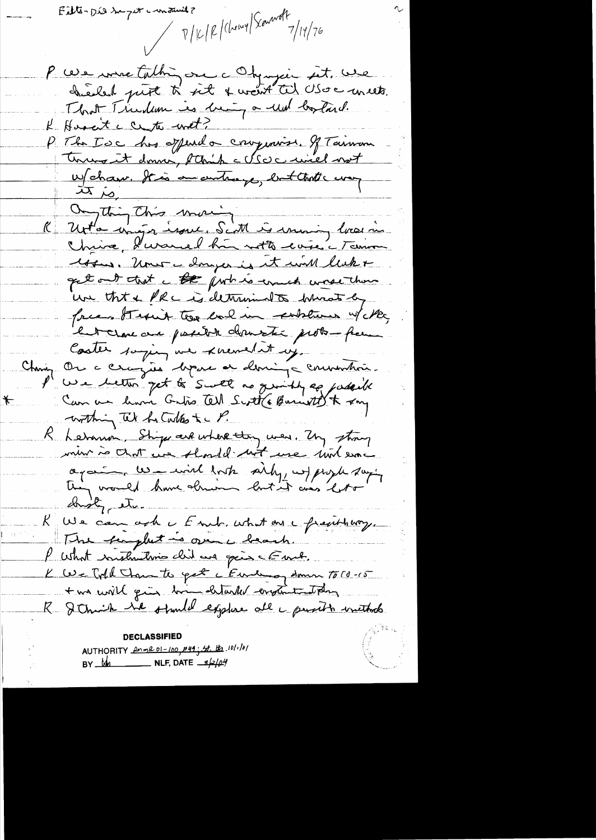Filte-Did Sugat constant ?

 $\bigstar$ 

 $\frac{1}{\sqrt{110}}\int_0^{\frac{1}{\sqrt{11}}\int_0^{\frac{1}{\sqrt{11}}}}\frac{1}{\sqrt{11}}\int_0^{\frac{1}{\sqrt{11}}}\frac{1}{\sqrt{11}}\int_0^{\frac{1}{\sqrt{11}}}|\frac{1}{\sqrt{11}}|\frac{1}{\sqrt{11}}\int_0^{\frac{1}{\sqrt{11}}}\frac{1}{\sqrt{11}}\int_0^{\frac{1}{\sqrt{11}}}\frac{1}{\sqrt{11}}\int_0^{\frac{1}{\sqrt{11}}}|\frac{1}{\sqrt{11}}\int_0^{\frac{1}{\sqrt{11}}}|\frac$ 

P ces me talhin on c Obynjein sit. une That Timber is being a und lostard. K Hosait c center with? P The Toc his offered a componion. If Taiman Wehave. It is an untrempe, but that's way  $\frac{1}{\sqrt{2}}$  or  $\frac{1}{\sqrt{2}}$ Ongthing this morning Unt'a major issue. Scatt is moving lassin Chrise, Kursuch hui sotte coire à Tainou 144 . Uner - douzer is it will like get out that a the furt is errect worse there un tht & PRC is determined to bring by free Stepit too bal in explans w/ Me, but clave and papelot desuration probo-frem Coster saying we knewed it us. China Ou a cerazion depose en demina communica. I' we letter get to Swell as quickly apparent Can au huin Gatro Cel Scott (Buriet 195 K xmg within the hotalks to P. R Letanon, Strips are where they were. My strong min à chat une should not use mot ence again us will look sity wf progle saying thing would have already lost it ais bott droty etc. We can only Four, what are frauthorg. The furghet is over a brach. P what instructions clid are going & Emet. K We Told Than to get a Euneman Homen To (d-15 two will gin bin detailed englanted they R & thick he stunded explore all a purith initials AUTHORITY POMEDI-100, 249; St. the 10/1/01

BY  $M_1$  NLF, DATE  $\frac{1}{2}$